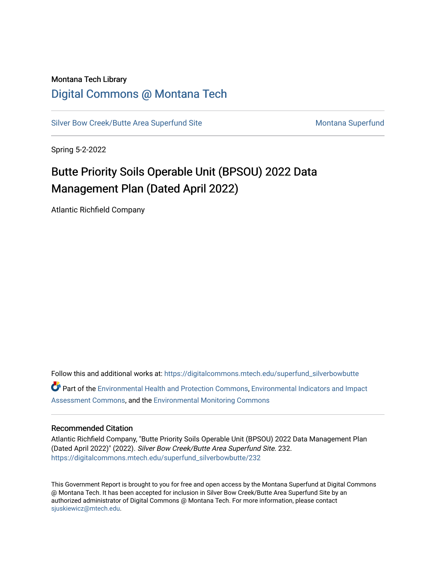### Montana Tech Library [Digital Commons @ Montana Tech](https://digitalcommons.mtech.edu/)

[Silver Bow Creek/Butte Area Superfund Site](https://digitalcommons.mtech.edu/superfund_silverbowbutte) [Montana Superfund](https://digitalcommons.mtech.edu/superfund) Superfund

Spring 5-2-2022

# Butte Priority Soils Operable Unit (BPSOU) 2022 Data Management Plan (Dated April 2022)

Atlantic Richfield Company

Follow this and additional works at: [https://digitalcommons.mtech.edu/superfund\\_silverbowbutte](https://digitalcommons.mtech.edu/superfund_silverbowbutte?utm_source=digitalcommons.mtech.edu%2Fsuperfund_silverbowbutte%2F232&utm_medium=PDF&utm_campaign=PDFCoverPages) Part of the [Environmental Health and Protection Commons,](http://network.bepress.com/hgg/discipline/172?utm_source=digitalcommons.mtech.edu%2Fsuperfund_silverbowbutte%2F232&utm_medium=PDF&utm_campaign=PDFCoverPages) [Environmental Indicators and Impact](http://network.bepress.com/hgg/discipline/1015?utm_source=digitalcommons.mtech.edu%2Fsuperfund_silverbowbutte%2F232&utm_medium=PDF&utm_campaign=PDFCoverPages) [Assessment Commons,](http://network.bepress.com/hgg/discipline/1015?utm_source=digitalcommons.mtech.edu%2Fsuperfund_silverbowbutte%2F232&utm_medium=PDF&utm_campaign=PDFCoverPages) and the [Environmental Monitoring Commons](http://network.bepress.com/hgg/discipline/931?utm_source=digitalcommons.mtech.edu%2Fsuperfund_silverbowbutte%2F232&utm_medium=PDF&utm_campaign=PDFCoverPages) 

#### Recommended Citation

Atlantic Richfield Company, "Butte Priority Soils Operable Unit (BPSOU) 2022 Data Management Plan (Dated April 2022)" (2022). Silver Bow Creek/Butte Area Superfund Site. 232. [https://digitalcommons.mtech.edu/superfund\\_silverbowbutte/232](https://digitalcommons.mtech.edu/superfund_silverbowbutte/232?utm_source=digitalcommons.mtech.edu%2Fsuperfund_silverbowbutte%2F232&utm_medium=PDF&utm_campaign=PDFCoverPages)

This Government Report is brought to you for free and open access by the Montana Superfund at Digital Commons @ Montana Tech. It has been accepted for inclusion in Silver Bow Creek/Butte Area Superfund Site by an authorized administrator of Digital Commons @ Montana Tech. For more information, please contact [sjuskiewicz@mtech.edu.](mailto:sjuskiewicz@mtech.edu)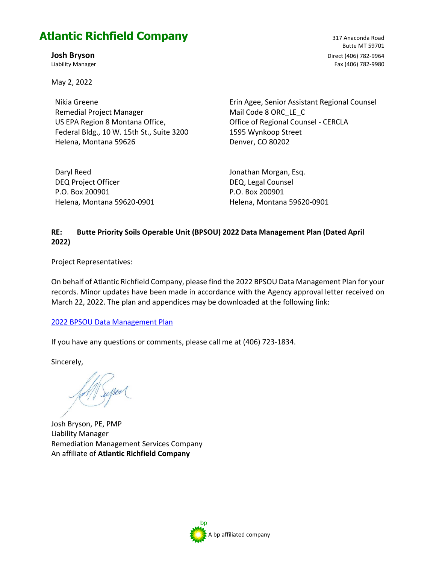# **Atlantic Richfield Company**

May 2, 2022

Nikia Greene Remedial Project Manager US EPA Region 8 Montana Office, Federal Bldg., 10 W. 15th St., Suite 3200 Helena, Montana 59626

Erin Agee, Senior Assistant Regional Counsel Mail Code 8 ORC\_LE\_C Office of Regional Counsel - CERCLA 1595 Wynkoop Street Denver, CO 80202

| Daryl Reed                 |  |
|----------------------------|--|
| DEQ Project Officer        |  |
| P.O. Box 200901            |  |
| Helena, Montana 59620-0901 |  |

Jonathan Morgan, Esq. DEQ, Legal Counsel P.O. Box 200901 Helena, Montana 59620-0901

#### **RE: Butte Priority Soils Operable Unit (BPSOU) 2022 Data Management Plan (Dated April 2022)**

Project Representatives:

On behalf of Atlantic Richfield Company, please find the 2022 BPSOU Data Management Plan for your records. Minor updates have been made in accordance with the Agency approval letter received on March 22, 2022. The plan and appendices may be downloaded at the following link:

#### [2022 BPSOU Data Management Plan](https://woodardcurran-my.sharepoint.com/:f:/p/ddobrinen/EskrXo5UoL1DlYlW4rLJxIwBabjW-ghkmuDbJvLWkYcVzw?e=X13i9I)

If you have any questions or comments, please call me at (406) 723-1834.

Sincerely,

Josh Bryson, PE, PMP Liability Manager Remediation Management Services Company An affiliate of **Atlantic Richfield Company**



317 Anaconda Road Butte MT 59701 **Josh Bryson** Direct (406) 782-9964 Liability Manager Fax (406) 782-9980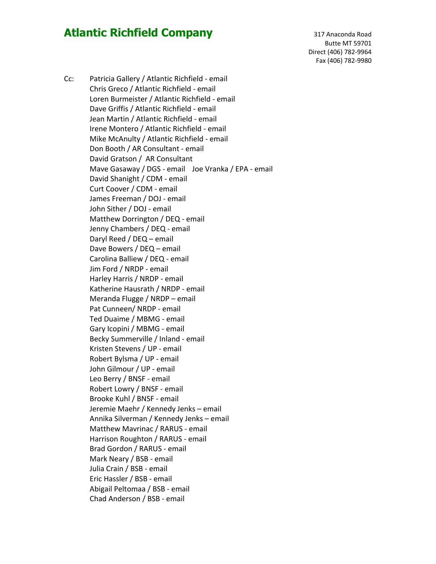# **Atlantic Richfield Company** 317 Anaconda Road

Butte MT 59701 Direct (406) 782-9964 Fax (406) 782-9980

Cc: Patricia Gallery / Atlantic Richfield - email Chris Greco / Atlantic Richfield - email Loren Burmeister / Atlantic Richfield - email Dave Griffis / Atlantic Richfield - email Jean Martin / Atlantic Richfield - email Irene Montero / Atlantic Richfield - email Mike McAnulty / Atlantic Richfield - email Don Booth / AR Consultant - email David Gratson / AR Consultant Mave Gasaway / DGS - email Joe Vranka / EPA - email David Shanight / CDM - email Curt Coover / CDM - email James Freeman / DOJ - email John Sither / DOJ - email Matthew Dorrington / DEQ - email Jenny Chambers / DEQ - email Daryl Reed / DEQ – email Dave Bowers / DEQ – email Carolina Balliew / DEQ - email Jim Ford / NRDP - email Harley Harris / NRDP - email Katherine Hausrath / NRDP - email Meranda Flugge / NRDP – email Pat Cunneen/ NRDP - email Ted Duaime / MBMG - email Gary Icopini / MBMG - email Becky Summerville / Inland - email Kristen Stevens / UP - email Robert Bylsma / UP - email John Gilmour / UP - email Leo Berry / BNSF - email Robert Lowry / BNSF - email Brooke Kuhl / BNSF - email Jeremie Maehr / Kennedy Jenks – email Annika Silverman / Kennedy Jenks – email Matthew Mavrinac / RARUS - email Harrison Roughton / RARUS - email Brad Gordon / RARUS - email Mark Neary / BSB - email Julia Crain / BSB - email Eric Hassler / BSB - email Abigail Peltomaa / BSB - email Chad Anderson / BSB - email